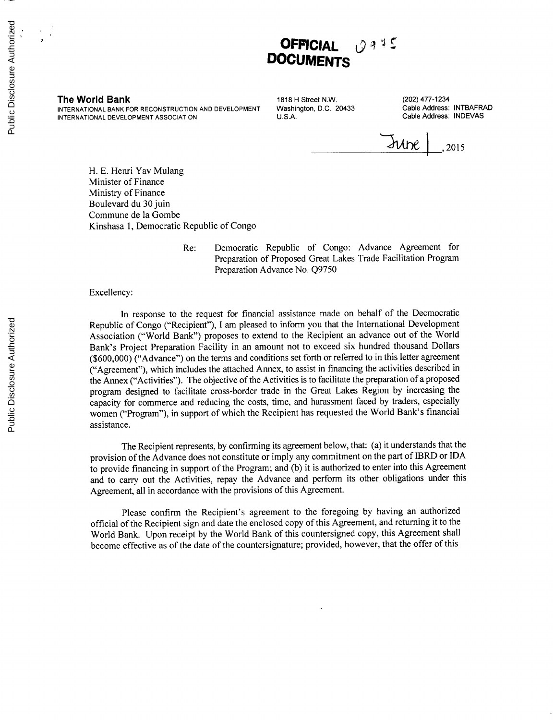

**The World Bank 1818 H** Street N.W. (202) 477-1234<br>INTERNATIONAL BANK FOR RECONSTRUCTION AND DEVELOPMENT Washington, D.C. 20433 Cable Address: INTBAFRAD **INTERNATIONAL BANK** FOR **RECONSTRUCTION AND DEVELOPMENT** Washington, **D.C.** 20433 Cable Address: INTBAFRAD **INTERNATIONAL DEVELOPMENT ASSOCIATION** 

Sube **,2015**

H. **E.** Henri Yav Mulang Minister of Finance Ministry of Finance Boulevard du 30 juin Commune de la Gombe Kinshasa **1,** Democratic Republic of Congo

> Re: Democratic Republic of Congo: Advance Agreement for Preparation of Proposed Great Lakes Trade Facilitation Program Preparation Advance No. **Q9750**

Excellency:

In response to the request for financial assistance made on behalf of the Decmocratic Republic of Congo ("Recipient"), **I** am pleased to inform you that the International Development Association ("World Bank") proposes to extend to the Recipient an advance out of the World Bank's Project Preparation Facility in an amount not to exceed six hundred thousand Dollars **(\$600,000)** ("Advance") on the terms and conditions set forth or referred to in this letter agreement ("Agreement"), which includes the attached Annex, to assist in financing the activities described in the Annex ("Activities"). The objective of the Activities is to facilitate the preparation of a proposed program designed to facilitate cross-border trade in the Great Lakes Region **by** increasing the capacity for commerce and reducing the costs, time, and harassment faced **by** traders, especially women ("Program"), in support of which the Recipient has requested the World Bank's financial assistance.

The Recipient represents, **by** confirming its agreement below, that: (a) it understands that the provision of the Advance does not constitute or imply any commitment on the part of IBRD or **IDA** to provide financing in support of the Program; and **(b)** it is authorized to enter into this Agreement and to carry out the Activities, repay the Advance and perform its other obligations under this Agreement, all in accordance with the provisions of this Agreement.

Please confirm the Recipient's agreement to the foregoing **by** having an authorized official of the Recipient sign and date the enclosed copy of this Agreement, and returning it to the World Bank. Upon receipt **by** the World Bank of this countersigned copy, this Agreement shall become effective as of the date of the countersignature; provided, however, that the offer of this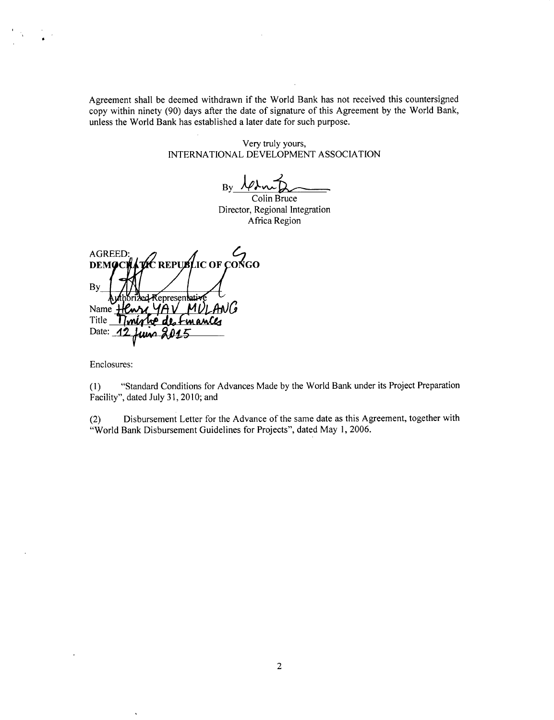Agreement shall be deemed withdrawn if the World Bank has not received this countersigned copy within ninety **(90)** days after the date of signature of this Agreement **by** the World Bank, unless the World Bank has established a later date for such purpose.

> Very truly yours, **INTERNATIONAL DEVELOPMENT ASSOCIATION**

 $By \neq$ 

Colin Bruce Director, Regional Integration Africa Region

**DE REPUBLIC OF CONGO** AGREED<br>DEMOCI **By\_** ded Kepresentativ Name Henry 4AV<br>Title *Timirlig* de Timinho de Emances Date: **12** <u>maq</u>

Enclosures:

J

**(1)** "Standard Conditions for Advances Made **by** the World Bank under its Project Preparation Facility", dated July **31, 2010;** and

(2) Disbursement Letter for the Advance of the same date as this Agreement, together with "World Bank Disbursement Guidelines for Projects", dated May **1, 2006.**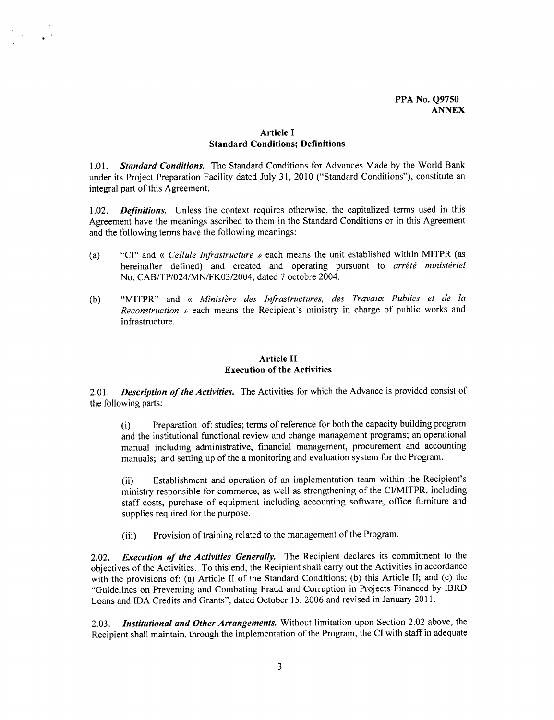# **Article I Standard Conditions; Definitions**

**1.01.** *Standard Conditions.* The Standard Conditions for Advances Made **by** the World Bank under its Project Preparation Facility dated July **31,** 2010 ("Standard Conditions"), constitute an integral part of this Agreement.

1.02. *Definitions.* Unless the context requires otherwise, the capitalized terms used in this Agreement have the meanings ascribed to them in the Standard Conditions or in this Agreement and the following terms have the following meanings:

- (a) **"CI"** and < *Cellule Infrastructure )* each means the unit established within MITPR (as hereinafter defined) and created and operating pursuant to *arrêté ministériel* No. CAB/TP/024/MN/FKO3/2004, dated **7** octobre 2004.
- **(b)** "MITPR" and < *Minist&re des Infrastructures, des Travaux Publics et de la Reconstruction »* each means the Recipient's ministry in charge of public works and infrastructure.

# **Article II Execution of the Activities**

2.01. *Description of the Activities.* The Activities for which the Advance is provided consist of the following parts:

(i) Preparation of: studies; terms of reference for both the capacity building program and the institutional functional review and change management programs; an operational manual including administrative, financial management, procurement and accounting manuals; and setting up of the a monitoring and evaluation system for the Program.

(ii) Establishment and operation of an implementation team within the Recipient's ministry responsible for commerce, as well as strengthening of the CI/MITPR, including staff costs, purchase of equipment including accounting software, office furniture and supplies required for the purpose.

(iii) Provision of training related to the management of the Program.

2.02. *Execution of the Activities Generally.* The Recipient declares its commitment to the objectives of the Activities. To this end, the Recipient shall carry out the Activities in accordance with the provisions of: (a) Article II of the Standard Conditions; **(b)** this Article **II;** and (c) the "Guidelines on Preventing and Combating Fraud and Corruption in Projects Financed **by** IBRD Loans and **IDA** Credits and Grants", dated October **15, 2006** and revised in January **2011.**

**2.03.** *Institutional and Other Arrangements.* Without limitation upon Section 2.02 above, the Recipient shall maintain, through the implementation of the Program, the CI with staff in adequate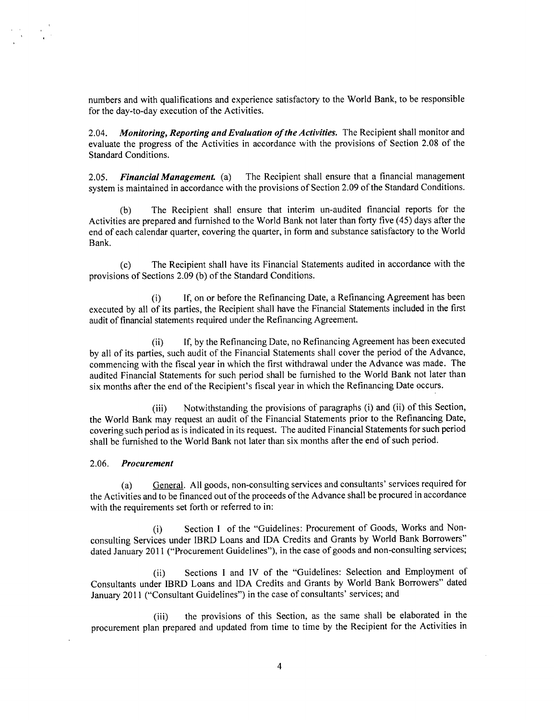numbers and with qualifications and experience satisfactory to the World Bank, to be responsible for the day-to-day execution of the Activities.

*2.04. Monitoring, Reporting and Evaluation ofthe Activities.* The Recipient shall monitor and evaluate the progress of the Activities in accordance with the provisions of Section **2.08** of the Standard Conditions.

**2.05.** *Financial Management. (a)* The Recipient shall ensure that a financial management system is maintained in accordance with the provisions of Section **2.09** of the Standard Conditions.

**(b)** The Recipient shall ensure that interim un-audited financial reports for the Activities are prepared and furnished to the World Bank not later than forty five (45) days after the end of each calendar quarter, covering the quarter, in form and substance satisfactory to the World Bank.

**(c)** The Recipient shall have its Financial Statements audited in accordance with the provisions of Sections **2.09 (b)** of the Standard Conditions.

(i) **If,** on or before the Refinancing Date, a Refinancing Agreement has been executed **by** all of its parties, the Recipient shall have the Financial Statements included in the first audit of financial statements required under the Refinancing Agreement.

(ii) **If, by** the Refinancing Date, no Refinancing Agreement has been executed **by** all of its parties, such audit of the Financial Statements shall cover the period of the Advance, commencing with the fiscal year in which the first withdrawal under the Advance was made. The audited Financial Statements for such period shall be furnished to the World Bank not later than six months after the end of the Recipient's fiscal year in which the Refinancing Date occurs.

(iii) Notwithstanding the provisions of paragraphs (i) and (ii) of this Section, the World Bank may request an audit of the Financial Statements prior to the Refinancing Date, covering such period as is indicated in its request. The audited Financial Statements for such period shall be furnished to the World Bank not later than six months after the end of such period.

#### *2.06. Procurement*

(a) General. **All** goods, non-consulting services and consultants' services required for the Activities and to be financed out of the proceeds of the Advance shall be procured in accordance with the requirements set forth or referred to in:

(i) Section **I** of the "Guidelines: Procurement of Goods, Works and Nonconsulting Services under IBRD Loans and **IDA** Credits and Grants **by** World Bank Borrowers" dated January 2011 ("Procurement Guidelines"), in the case of goods and non-consulting services;

(ii) Sections **I** and IV of the "Guidelines: Selection and Employment of Consultants under IBRD Loans and **IDA** Credits and Grants **by** World Bank Borrowers" dated January 2011 ("Consultant Guidelines") in the case of consultants' services; and

(iii) the provisions of this Section, as the same shall be elaborated in the procurement plan prepared and updated from time to time **by** the Recipient for the Activities in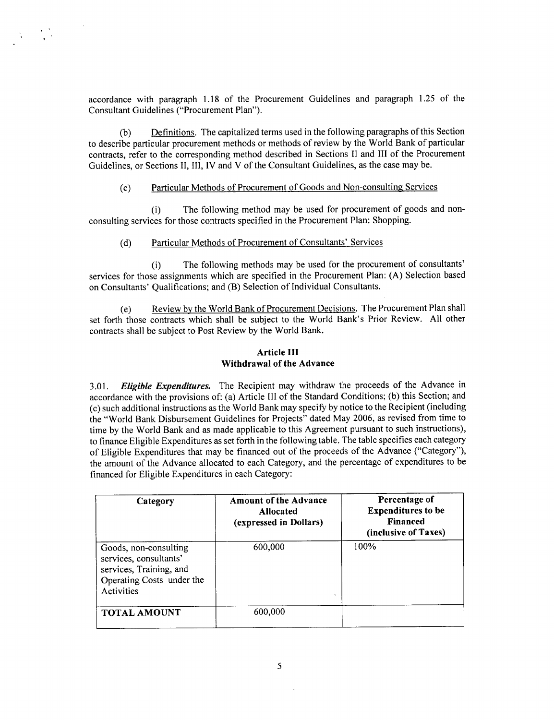accordance with paragraph **1.18** of the Procurement Guidelines and paragraph **1.25** of the Consultant Guidelines ("Procurement Plan").

**(b)** Definitions. The capitalized terms used in the following paragraphs of this Section to describe particular procurement methods or methods of review **by** the World Bank of particular contracts, refer to the corresponding method described in Sections II and **III** of the Procurement Guidelines, or Sections **II,** III, IV and V of the Consultant Guidelines, as the case may be.

# **(c)** Particular Methods of Procurement of Goods and Non-consulting Services

(i) The following method may be used for procurement of goods and nonconsulting services for those contracts specified in the Procurement Plan: Shopping.

### **(d)** Particular Methods of Procurement of Consultants' Services

(i) The following methods may be used for the procurement of consultants' services for those assignments which are specified in the Procurement Plan: **(A)** Selection based on Consultants' Qualifications; and (B) Selection of Individual Consultants.

(e) Review **by** the World Bank of Procurement Decisions. The Procurement Plan shall set forth those contracts which shall be subject to the World Bank's Prior Review. **All** other contracts shall be subject to Post Review **by** the World Bank.

### **Article III Withdrawal of the Advance**

**3.01.** *Eligible Expenditures.* The Recipient may withdraw the proceeds of the Advance in accordance with the provisions of: (a) Article **III** of the Standard Conditions; **(b)** this Section; and (c) such additional instructions as the World Bank may specify **by** notice to the Recipient (including the "World Bank Disbursement Guidelines for Projects" dated May **2006,** as revised from time to time **by** the World Bank and as made applicable to this Agreement pursuant to such instructions), to finance Eligible Expenditures as set forth in the following table. The table specifies each category of Eligible Expenditures that may be financed out of the proceeds of the Advance ("Category"), the amount of the Advance allocated to each Category, and the percentage of expenditures to be financed for Eligible Expenditures in each Category:

| Category                                                                                                              | <b>Amount of the Advance</b><br><b>Allocated</b><br>(expressed in Dollars) | Percentage of<br><b>Expenditures to be</b><br><b>Financed</b><br>(inclusive of Taxes) |
|-----------------------------------------------------------------------------------------------------------------------|----------------------------------------------------------------------------|---------------------------------------------------------------------------------------|
| Goods, non-consulting<br>services, consultants'<br>services, Training, and<br>Operating Costs under the<br>Activities | 600,000<br>$\lambda$                                                       | 100%                                                                                  |
| <b>TOTAL AMOUNT</b>                                                                                                   | 600,000                                                                    |                                                                                       |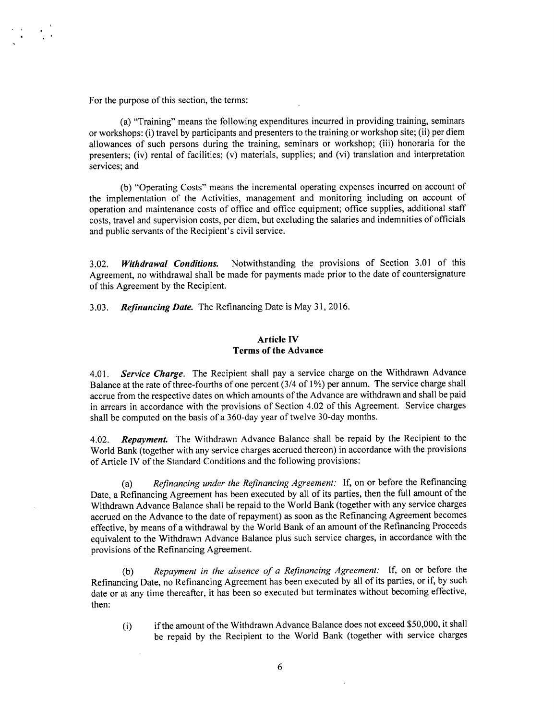For the purpose of this section, the terms:

(a) "Training" means the following expenditures incurred in providing training, seminars or workshops: (i) travel **by** participants and presenters to the training or workshop site; (ii) per diem allowances of such persons during the training, seminars or workshop; (iii) honoraria for the presenters; (iv) rental of facilities; (v) materials, supplies; and (vi) translation and interpretation services; and

**(b)** "Operating Costs" means the incremental operating expenses incurred on account of the implementation of the Activities, management and monitoring including on account of operation and maintenance costs of office and office equipment; office supplies, additional staff costs, travel and supervision costs, per diem, but excluding the salaries and indemnities of officials and public servants of the Recipient's civil service.

**3.02.** *Withdrawal Conditions.* Notwithstanding the provisions of Section **3.01** of this Agreement, no withdrawal shall be made for payments made prior to the date of countersignature of this Agreement **by** the Recipient.

*3.03. Refinancing Date.* The Refinancing Date is May **31, 2016.**

### **Article IV Terms of the Advance**

4.01. *Service Charge.* The Recipient shall pay **a** service charge on the Withdrawn Advance Balance at the rate of three-fourths of one percent (3/4 of **1%)** per annum. The service charge shall accrue from the respective dates on which amounts of the Advance are withdrawn and shall be paid in arrears in accordance with the provisions of Section 4.02 of this Agreement. Service charges shall be computed on the basis of a 360-day year of twelve 30-day months.

4.02. *Repayment.* The Withdrawn Advance Balance shall be repaid **by** the Recipient to the World Bank (together with any service charges accrued thereon) in accordance with the provisions of Article IV of the Standard Conditions and the following provisions:

(a) *Refinancing under the Refinancing Agreement:* **If,** on or before the Refinancing Date, a Refinancing Agreement has been executed **by** all of its parties, then the full amount of the Withdrawn Advance Balance shall be repaid to the World Bank (together with any service charges accrued on the Advance to the date of repayment) as soon as the Refinancing Agreement becomes effective, **by** means of a withdrawal **by** the World Bank of an amount of the Refinancing Proceeds equivalent to the Withdrawn Advance Balance plus such service charges, in accordance with the provisions of the Refinancing Agreement.

**(b)** *Repayment in the absence of a Refinancing Agreement:* **If,** on or before the Refinancing Date, no Refinancing Agreement has been executed **by** all of its parties, or if, **by** such date or at any time thereafter, it has been so executed but terminates without becoming effective, then:

(i) if the amount of the Withdrawn Advance Balance does not exceed **\$50,000,** it shall be repaid **by** the Recipient to the World Bank (together with service charges